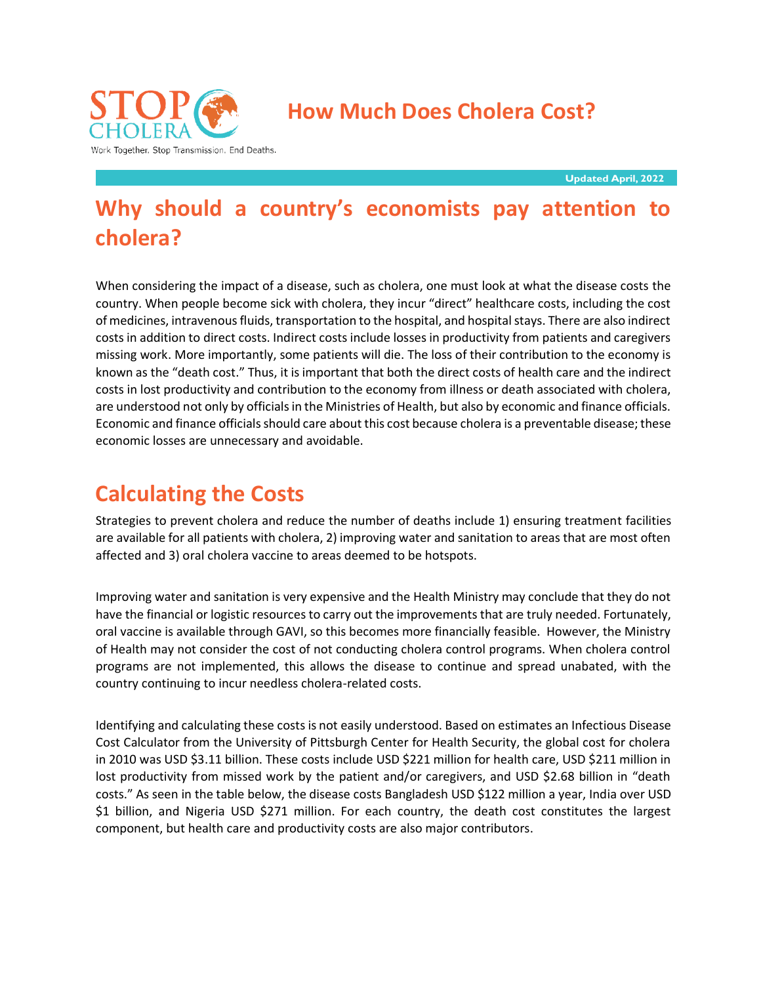

 **How Much Does Cholera Cost?** 

**Updated April, 2022**

# **Why should a country's economists pay attention to cholera?**

When considering the impact of a disease, such as cholera, one must look at what the disease costs the country. When people become sick with cholera, they incur "direct" healthcare costs, including the cost of medicines, intravenous fluids, transportation to the hospital, and hospital stays. There are also indirect costs in addition to direct costs. Indirect costs include losses in productivity from patients and caregivers missing work. More importantly, some patients will die. The loss of their contribution to the economy is known as the "death cost." Thus, it is important that both the direct costs of health care and the indirect costs in lost productivity and contribution to the economy from illness or death associated with cholera, are understood not only by officials in the Ministries of Health, but also by economic and finance officials. Economic and finance officials should care about this cost because cholera is a preventable disease; these economic losses are unnecessary and avoidable.

## **Calculating the Costs**

Strategies to prevent cholera and reduce the number of deaths include 1) ensuring treatment facilities are available for all patients with cholera, 2) improving water and sanitation to areas that are most often affected and 3) oral cholera vaccine to areas deemed to be hotspots.

Improving water and sanitation is very expensive and the Health Ministry may conclude that they do not have the financial or logistic resources to carry out the improvements that are truly needed. Fortunately, oral vaccine is available through GAVI, so this becomes more financially feasible. However, the Ministry of Health may not consider the cost of not conducting cholera control programs. When cholera control programs are not implemented, this allows the disease to continue and spread unabated, with the country continuing to incur needless cholera-related costs.

Identifying and calculating these costs is not easily understood. Based on estimates an Infectious Disease Cost Calculator from the University of Pittsburgh Center for Health Security, the global cost for cholera in 2010 was USD \$3.11 billion. These costs include USD \$221 million for health care, USD \$211 million in lost productivity from missed work by the patient and/or caregivers, and USD \$2.68 billion in "death costs." As seen in the table below, the disease costs Bangladesh USD \$122 million a year, India over USD \$1 billion, and Nigeria USD \$271 million. For each country, the death cost constitutes the largest component, but health care and productivity costs are also major contributors.